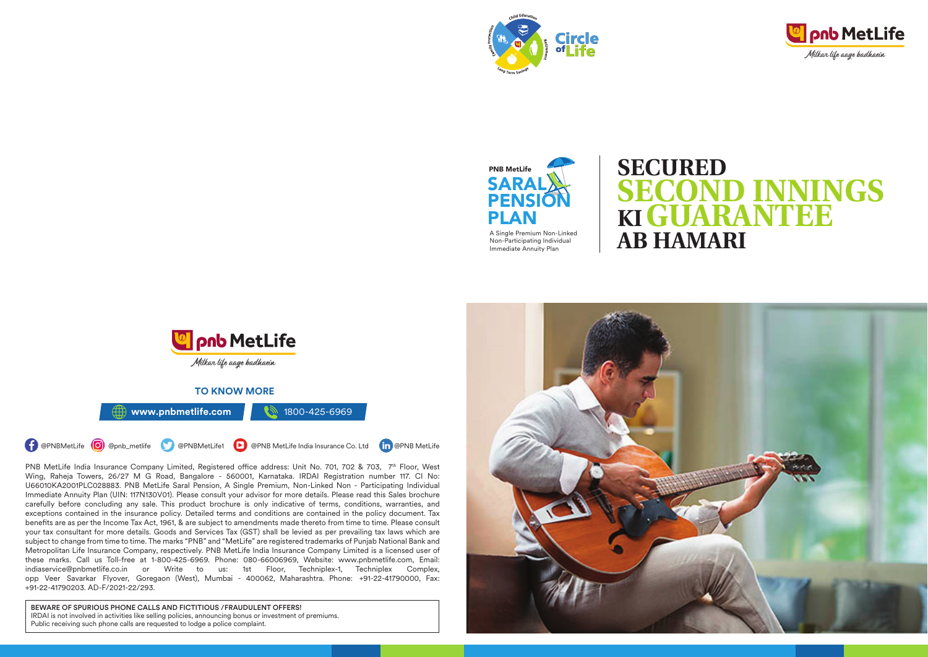





# **SECOND INNINGS SECURED KIGUARANTEE AB HAMARI**



PNB MetLife India Insurance Company Limited, Registered office address: Unit No. 701, 702 & 703, 7<sup>th</sup> Floor, West Wing, Raheja Towers, 26/27 M G Road, Bangalore - 560001, Karnataka. IRDAI Registration number 117. CI No: U66010KA2001PLC028883. PNB MetLife Saral Pension, A Single Premium, Non-Linked Non - Participating Individual Immediate Annuity Plan (UIN: 117N130V01). Please consult your advisor for more details. Please read this Sales brochure carefully before concluding any sale. This product brochure is only indicative of terms, conditions, warranties, and exceptions contained in the insurance policy. Detailed terms and conditions are contained in the policy document. Tax benefits are as per the Income Tax Act, 1961, & are subject to amendments made thereto from time to time. Please consult your tax consultant for more details. Goods and Services Tax (GST) shall be levied as per prevailing tax laws which are subject to change from time to time. The marks "PNB" and "MetLife" are registered trademarks of Punjab National Bank and Metropolitan Life Insurance Company, respectively. PNB MetLife India Insurance Company Limited is a licensed user of these marks. Call us Toll-free at 1-800-425-6969. Phone: 080-66006969, Website: www.pnbmetlife.com, Email: indiaservice@pnbmetlife.co.in or Write to us: 1st Floor, Techniplex-1, Techniplex Complex, opp Veer Savarkar Flyover, Goregaon (West), Mumbai - 400062, Maharashtra. Phone: +91-22-41790000, Fax: +91-22-41790203. AD-F/2021-22/293.

BEWARE OF SPURIOUS PHONE CALLS AND FICTITIOUS /FRAUDULENT OFFERS! IRDAI is not involved in activities like selling policies, announcing bonus or investment of premiums. Public receiving such phone calls are requested to lodge a police complaint.

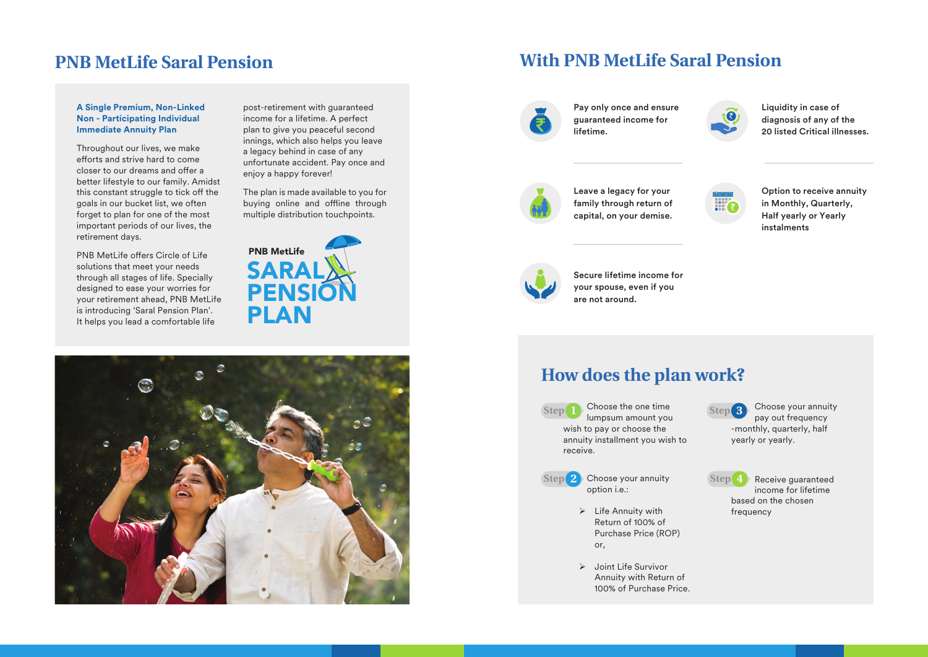# **PNB MetLife Saral Pension**

#### **A Single Premium, Non-Linked Non - Participating Individual Immediate Annuity Plan**

Throughout our lives, we make efforts and strive hard to come closer to our dreams and offer a better lifestyle to our family. Amidst this constant struggle to tick off the goals in our bucket list, we often forget to plan for one of the most important periods of our lives, the retirement days.

PNB MetLife offers Circle of Life solutions that meet your needs through all stages of life. Specially designed to ease your worries for your retirement ahead, PNB MetLife is introducing 'Saral Pension Plan'. It helps you lead a comfortable life

post-retirement with guaranteed income for a lifetime. A perfect plan to give you peaceful second innings, which also helps you leave a legacy behind in case of any unfortunate accident. Pay once and enjoy a happy forever!

The plan is made available to you for buying online and offline through multiple distribution touchpoints.

SAR PENSIC **PLAN** PNB MetLife



# **With PNB MetLife Saral Pension**



Pay only once and ensure guaranteed income for lifetime.



Liquidity in case of diagnosis of any of the 20 listed Critical illnesses.



Leave a legacy for your family through return of capital, on your demise.



Option to receive annuity in Monthly, Quarterly, Half yearly or Yearly instalments



Secure lifetime income for your spouse, even if you are not around.

# **How does the plan work?**

- Step Choose the one time lumpsum amount you **Step 1 Step 3** wish to pay or choose the annuity installment you wish to receive.
- Choose your annuity **Step 2 Step 4** option i.e.:
	- $\triangleright$  Life Annuity with Return of 100% of Purchase Price (ROP) or,
	- $\triangleright$  Joint Life Survivor Annuity with Return of 100% of Purchase Price.

Step<sup>3</sup> Choose your annuity pay out frequency -monthly, quarterly, half yearly or yearly.

 $Step(4)$  Receive guaranteed income for lifetime based on the chosen frequency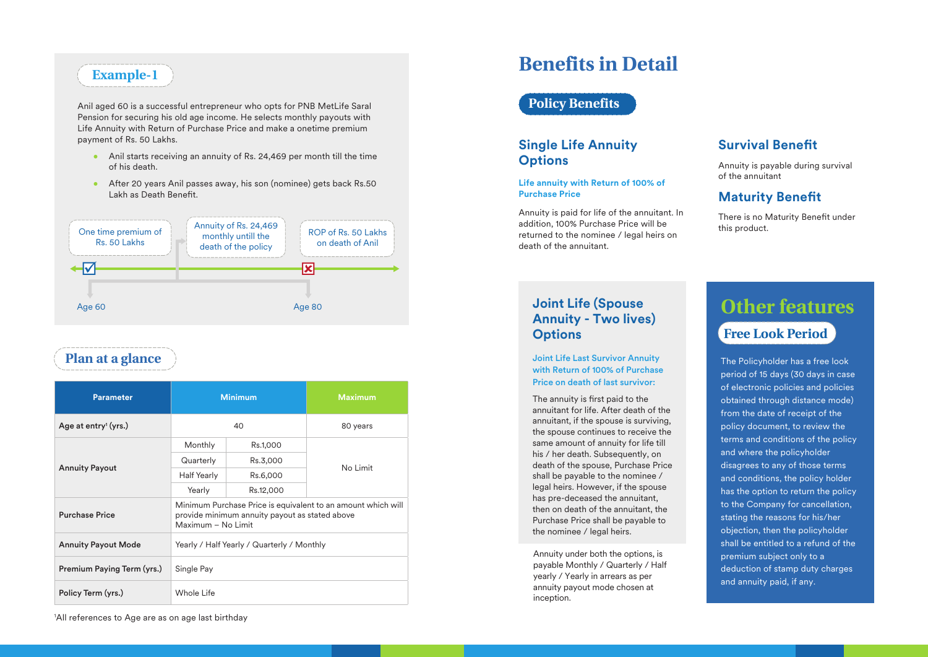# **Example-1**

Anil aged 60 is a successful entrepreneur who opts for PNB MetLife Saral Pension for securing his old age income. He selects monthly payouts with Life Annuity with Return of Purchase Price and make a onetime premium payment of Rs. 50 Lakhs.

- Anil starts receiving an annuity of Rs. 24,469 per month till the time of his death.
- After 20 years Anil passes away, his son (nominee) gets back Rs.50 Lakh as Death Benefit.



# **Plan at a glance**

| <b>Parameter</b>                 | <b>Minimum</b>                                                                                                                       |           | <b>Maximum</b> |
|----------------------------------|--------------------------------------------------------------------------------------------------------------------------------------|-----------|----------------|
| Age at entry <sup>1</sup> (yrs.) | 40                                                                                                                                   |           | 80 years       |
| <b>Annuity Payout</b>            | Monthly                                                                                                                              | Rs.1,000  | No Limit       |
|                                  | Quarterly                                                                                                                            | Rs.3,000  |                |
|                                  | <b>Half Yearly</b>                                                                                                                   | Rs.6,000  |                |
|                                  | Yearly                                                                                                                               | Rs.12,000 |                |
| <b>Purchase Price</b>            | Minimum Purchase Price is equivalent to an amount which will<br>provide minimum annuity payout as stated above<br>Maximum - No Limit |           |                |
| <b>Annuity Payout Mode</b>       | Yearly / Half Yearly / Quarterly / Monthly                                                                                           |           |                |
| Premium Paying Term (yrs.)       | Single Pay                                                                                                                           |           |                |
| Policy Term (yrs.)               | Whole Life                                                                                                                           |           |                |

# **Benefits in Detail**

### **Policy Benefits**

### **Single Life Annuity Options**

**Life annuity with Return of 100% of Purchase Price**

Annuity is paid for life of the annuitant. In addition, 100% Purchase Price will be returned to the nominee / legal heirs on death of the annuitant.

### **Survival Benet**

Annuity is payable during survival of the annuitant

### **Maturity Benefit**

There is no Maturity Benefit under this product.

### **Joint Life (Spouse Annuity - Two lives) Options**

#### Joint Life Last Survivor Annuity with Return of 100% of Purchase Price on death of last survivor:

The annuity is first paid to the annuitant for life. After death of the annuitant, if the spouse is surviving, the spouse continues to receive the same amount of annuity for life till his / her death. Subsequently, on death of the spouse, Purchase Price shall be payable to the nominee / legal heirs. However, if the spouse has pre-deceased the annuitant, then on death of the annuitant, the Purchase Price shall be payable to the nominee / legal heirs.

Annuity under both the options, is payable Monthly / Quarterly / Half yearly / Yearly in arrears as per annuity payout mode chosen at inception.

# **Other features Free Look Period**

#### The Policyholder has a free look period of 15 days (30 days in case of electronic policies and policies obtained through distance mode) from the date of receipt of the policy document, to review the terms and conditions of the policy and where the policyholder disagrees to any of those terms and conditions, the policy holder has the option to return the policy to the Company for cancellation, stating the reasons for his/her objection, then the policyholder shall be entitled to a refund of the premium subject only to a deduction of stamp duty charges and annuity paid, if any.

1 All references to Age are as on age last birthday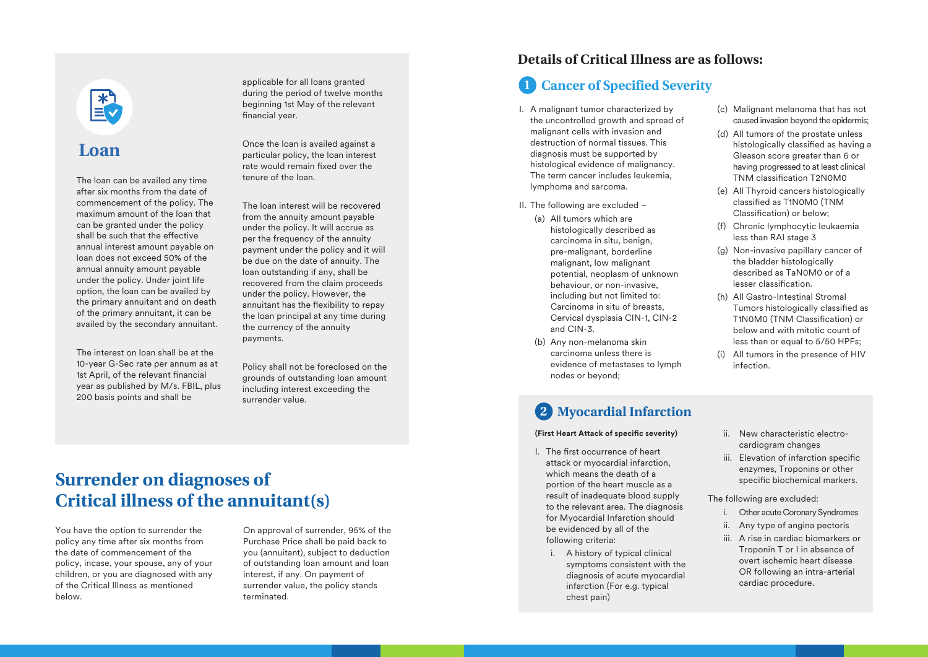

# **Loan**

The loan can be availed any time after six months from the date of commencement of the policy. The maximum amount of the loan that can be granted under the policy shall be such that the effective annual interest amount payable on loan does not exceed 50% of the annual annuity amount payable under the policy. Under joint life option, the loan can be availed by the primary annuitant and on death of the primary annuitant, it can be availed by the secondary annuitant.

The interest on loan shall be at the 10-year G-Sec rate per annum as at 1st April, of the relevant financial year as published by M/s. FBIL, plus 200 basis points and shall be

applicable for all loans granted during the period of twelve months beginning 1st May of the relevant financial year.

Once the loan is availed against a particular policy, the loan interest rate would remain fixed over the tenure of the loan.

The loan interest will be recovered from the annuity amount payable under the policy. It will accrue as per the frequency of the annuity payment under the policy and it will be due on the date of annuity. The loan outstanding if any, shall be recovered from the claim proceeds under the policy. However, the annuitant has the flexibility to repay the loan principal at any time during the currency of the annuity payments.

Policy shall not be foreclosed on the grounds of outstanding loan amount including interest exceeding the surrender value.

# **Surrender on diagnoses of Critical illness of the annuitant(s)**

You have the option to surrender the policy any time after six months from the date of commencement of the policy, incase, your spouse, any of your children, or you are diagnosed with any of the Critical Illness as mentioned below.

On approval of surrender, 95% of the Purchase Price shall be paid back to you (annuitant), subject to deduction of outstanding loan amount and loan interest, if any. On payment of surrender value, the policy stands terminated.

### **Details of Critical Illness are as follows:**

#### **1 Cancer of Specified Severity**

- I. A malignant tumor characterized by the uncontrolled growth and spread of malignant cells with invasion and destruction of normal tissues. This diagnosis must be supported by histological evidence of malignancy. The term cancer includes leukemia, lymphoma and sarcoma.
- II. The following are excluded
	- (a) All tumors which are histologically described as carcinoma in situ, benign, pre-malignant, borderline malignant, low malignant potential, neoplasm of unknown behaviour, or non-invasive, including but not limited to: Carcinoma in situ of breasts, Cervical dysplasia CIN-1, CIN-2 and CIN-3.
	- (b) Any non-melanoma skin carcinoma unless there is evidence of metastases to lymph nodes or beyond;

#### (c) Malignant melanoma that has not caused invasion beyond the epidermis;

- (d) All tumors of the prostate unless histologically classified as having a Gleason score greater than 6 or having progressed to at least clinical TNM classification T2N0M0
- (e) All Thyroid cancers histologically classified as T1N0M0 (TNM Classification) or below:
- (f) Chronic lymphocytic leukaemia less than RAI stage 3
- (g) Non-invasive papillary cancer of the bladder histologically described as TaN0M0 or of a lesser classification.
- (h) All Gastro-Intestinal Stromal Tumors histologically classified as T1N0M0 (TNM Classification) or below and with mitotic count of less than or equal to 5/50 HPFs;
- (i) All tumors in the presence of HIV infection.

## **2 Myocardial Infarction**

#### **(First Heart Attack of specific severity)**

- I. The first occurrence of heart attack or myocardial infarction, which means the death of a portion of the heart muscle as a result of inadequate blood supply to the relevant area. The diagnosis for Myocardial Infarction should be evidenced by all of the following criteria:
	- i. A history of typical clinical symptoms consistent with the diagnosis of acute myocardial infarction (For e.g. typical chest pain)
- ii. New characteristic electrocardiogram changes
- iii. Elevation of infarction specific enzymes, Troponins or other specific biochemical markers.

#### The following are excluded:

- i. Other acute Coronary Syndromes
- ii. Any type of angina pectoris
- iii. A rise in cardiac biomarkers or Troponin T or I in absence of overt ischemic heart disease OR following an intra-arterial cardiac procedure.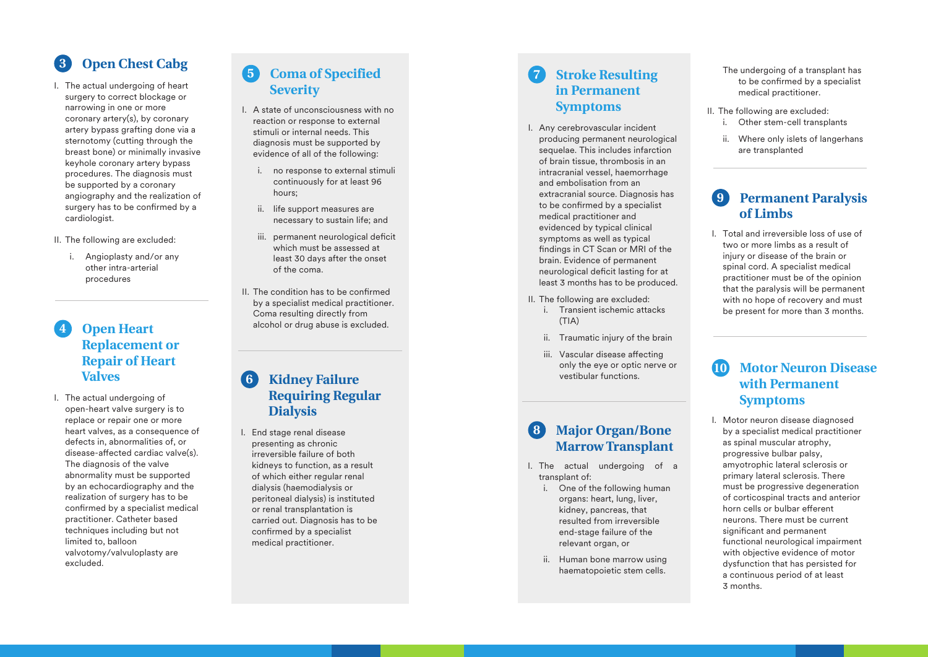# **Open Chest Cabg**

I. The actual undergoing of heart surgery to correct blockage or narrowing in one or more coronary artery(s), by coronary artery bypass grafting done via a sternotomy (cutting through the breast bone) or minimally invasive keyhole coronary artery bypass procedures. The diagnosis must be supported by a coronary angiography and the realization of surgery has to be confirmed by a cardiologist.

II. The following are excluded:

i. Angioplasty and/or any other intra-arterial procedures

#### **Open Heart Replacement or Repair of Heart Valves 4**

I. The actual undergoing of open-heart valve surgery is to replace or repair one or more heart valves, as a consequence of defects in, abnormalities of, or  $disease$ -affected cardiac valve $(s)$ . The diagnosis of the valve abnormality must be supported by an echocardiography and the realization of surgery has to be confirmed by a specialist medical practitioner. Catheter based techniques including but not limited to, balloon valvotomy/valvuloplasty are excluded.

## **Coma of Specified 5 Severity**

- I. A state of unconsciousness with no reaction or response to external stimuli or internal needs. This diagnosis must be supported by evidence of all of the following:
	- i. no response to external stimuli continuously for at least 96 hours;
	- ii. life support measures are necessary to sustain life; and
	- iii. permanent neurological deficit which must be assessed at least 30 days after the onset of the coma.
- II. The condition has to be confirmed by a specialist medical practitioner. Coma resulting directly from alcohol or drug abuse is excluded.

#### **Kidney Failure Requiring Regular Dialysis 6**

I. End stage renal disease presenting as chronic irreversible failure of both kidneys to function, as a result of which either regular renal dialysis (haemodialysis or peritoneal dialysis) is instituted or renal transplantation is carried out. Diagnosis has to be confirmed by a specialist medical practitioner.

#### **Stroke Resulting in Permanent Symptoms 7**

- I. Any cerebrovascular incident producing permanent neurological sequelae. This includes infarction of brain tissue, thrombosis in an intracranial vessel, haemorrhage and embolisation from an extracranial source. Diagnosis has to be confirmed by a specialist medical practitioner and evidenced by typical clinical symptoms as well as typical findings in CT Scan or MRI of the brain. Evidence of permanent neurological deficit lasting for at least 3 months has to be produced.
- II. The following are excluded:
	- i. Transient ischemic attacks  $(TIA)$
	- ii. Traumatic injury of the brain
	- iii. Vascular disease affecting only the eye or optic nerve or vestibular functions.

#### **Major Organ/Bone Marrow Transplant 8**

- I. The actual undergoing of a transplant of:
	- i. One of the following human organs: heart, lung, liver, kidney, pancreas, that resulted from irreversible end-stage failure of the relevant organ, or
	- ii. Human bone marrow using haematopoietic stem cells.

#### The undergoing of a transplant has to be confirmed by a specialist medical practitioner.

- II. The following are excluded:
	- i. Other stem-cell transplants
	- ii. Where only islets of langerhans are transplanted

#### **Permanent Paralysis of Limbs 9**

I. Total and irreversible loss of use of two or more limbs as a result of injury or disease of the brain or spinal cord. A specialist medical practitioner must be of the opinion that the paralysis will be permanent with no hope of recovery and must be present for more than 3 months.

#### **Motor Neuron Disease with Permanent Symptoms 10**

I. Motor neuron disease diagnosed by a specialist medical practitioner as spinal muscular atrophy, progressive bulbar palsy, amyotrophic lateral sclerosis or primary lateral sclerosis. There must be progressive degeneration of corticospinal tracts and anterior horn cells or bulbar efferent neurons. There must be current significant and permanent functional neurological impairment with objective evidence of motor dysfunction that has persisted for a continuous period of at least 3 months.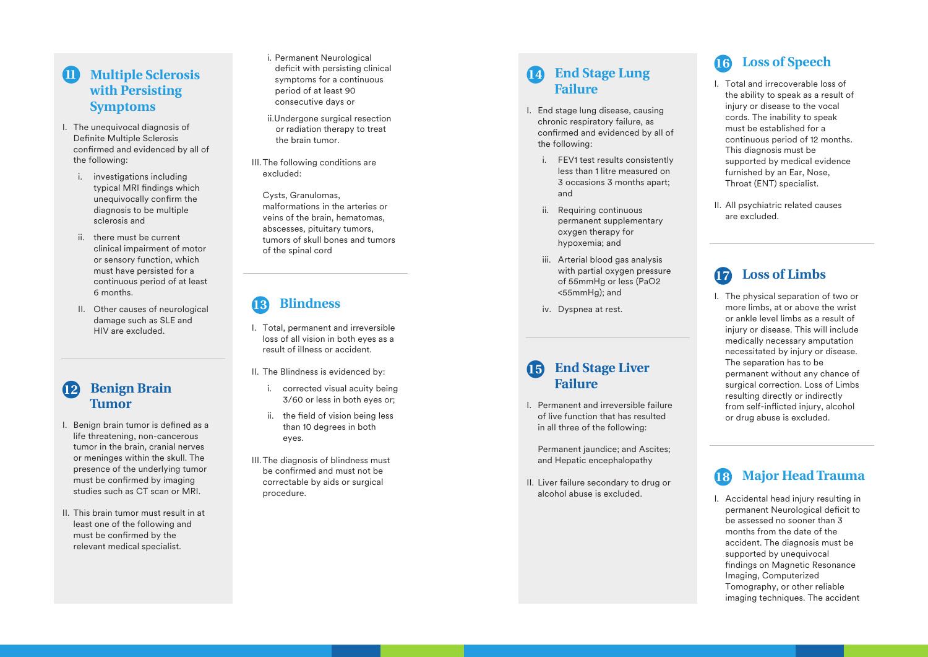### **11** Multiple Sclerosis **with Persisting Symptoms**

- I. The unequivocal diagnosis of Definite Multiple Sclerosis confirmed and evidenced by all of the following:
	- i. investigations including typical MRI findings which unequivocally confirm the diagnosis to be multiple sclerosis and
	- ii. there must be current clinical impairment of motor or sensory function, which must have persisted for a continuous period of at least 6 months.
	- II. Other causes of neurological damage such as SLE and HIV are excluded.

### **Benign Brain 12 Tumor**

- I. Benign brain tumor is defined as a life threatening, non-cancerous tumor in the brain, cranial nerves or meninges within the skull. The presence of the underlying tumor must be confirmed by imaging studies such as CT scan or MRI.
- II. This brain tumor must result in at least one of the following and must be confirmed by the relevant medical specialist.
- i. Permanent Neurological deficit with persisting clinical symptoms for a continuous period of at least 90 consecutive days or
- ii.Undergone surgical resection or radiation therapy to treat the brain tumor.
- III. The following conditions are excluded:
- Cysts, Granulomas, malformations in the arteries or veins of the brain, hematomas, abscesses, pituitary tumors, tumors of skull bones and tumors of the spinal cord

# **Blindness 13**

- I. Total, permanent and irreversible loss of all vision in both eyes as a result of illness or accident.
- II. The Blindness is evidenced by:
	- i. corrected visual acuity being 3/60 or less in both eyes or;
	- ii. the field of vision being less than 10 degrees in both eyes.
- III. The diagnosis of blindness must be confirmed and must not be correctable by aids or surgical procedure.

## **End Stage Lung 14 Failure**

- I. End stage lung disease, causing chronic respiratory failure, as confirmed and evidenced by all of the following:
	- i. FEV1 test results consistently less than 1 litre measured on 3 occasions 3 months apart; and
	- ii. Requiring continuous permanent supplementary oxygen therapy for hypoxemia; and
	- iii. Arterial blood gas analysis with partial oxygen pressure of 55mmHg or less (PaO2 <55mmHg); and
	- iv. Dyspnea at rest.

### **End Stage Liver 15 Failure**

- I. Permanent and irreversible failure of live function that has resulted in all three of the following:
	- Permanent jaundice; and Ascites; and Hepatic encephalopathy
- II. Liver failure secondary to drug or alcohol abuse is excluded.

# **Loss of Speech 16**

- I. Total and irrecoverable loss of the ability to speak as a result of injury or disease to the vocal cords. The inability to speak must be established for a continuous period of 12 months. This diagnosis must be supported by medical evidence furnished by an Ear, Nose, Throat (ENT) specialist.
- II. All psychiatric related causes are excluded.

# **Loss of Limbs**

I. The physical separation of two or more limbs, at or above the wrist or ankle level limbs as a result of injury or disease. This will include medically necessary amputation necessitated by injury or disease. The separation has to be permanent without any chance of surgical correction. Loss of Limbs resulting directly or indirectly from self-inflicted injury, alcohol or drug abuse is excluded.

# **Major Head Trauma**

I. Accidental head injury resulting in permanent Neurological deficit to be assessed no sooner than 3 months from the date of the accident. The diagnosis must be supported by unequivocal findings on Magnetic Resonance Imaging, Computerized Tomography, or other reliable imaging techniques. The accident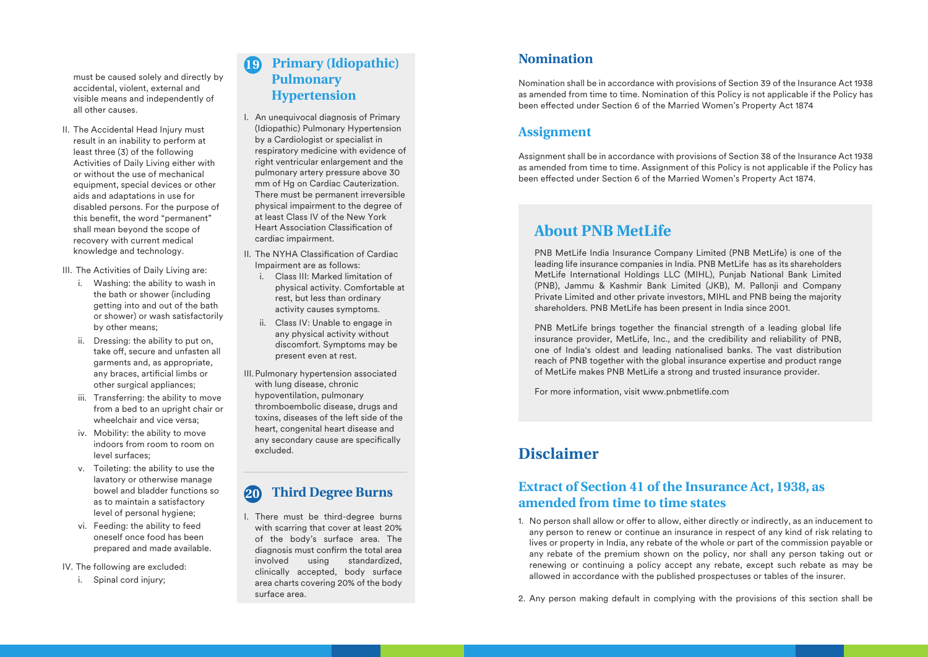must be caused solely and directly by accidental, violent, external and visible means and independently of all other causes.

II. The Accidental Head Injury must result in an inability to perform at least three (3) of the following Activities of Daily Living either with or without the use of mechanical equipment, special devices or other aids and adaptations in use for disabled persons. For the purpose of this benefit, the word "permanent" shall mean beyond the scope of recovery with current medical knowledge and technology.

III. The Activities of Daily Living are:

- i. Washing: the ability to wash in the bath or shower (including getting into and out of the bath or shower) or wash satisfactorily by other means;
- ii. Dressing: the ability to put on, take off, secure and unfasten all garments and, as appropriate, any braces, artificial limbs or other surgical appliances;
- iii. Transferring: the ability to move from a bed to an upright chair or wheelchair and vice versa;
- iv. Mobility: the ability to move indoors from room to room on level surfaces;
- v. Toileting: the ability to use the lavatory or otherwise manage bowel and bladder functions so as to maintain a satisfactory level of personal hygiene;
- vi. Feeding: the ability to feed oneself once food has been prepared and made available.
- IV. The following are excluded:
	- i. Spinal cord injury:

#### **Primary (Idiopathic) Pulmonary Hypertension 19**

- I. An unequivocal diagnosis of Primary (Idiopathic) Pulmonary Hypertension by a Cardiologist or specialist in respiratory medicine with evidence of right ventricular enlargement and the pulmonary artery pressure above 30 mm of Hg on Cardiac Cauterization. There must be permanent irreversible physical impairment to the degree of at least Class IV of the New York Heart Association Classification of cardiac impairment.
- II. The NYHA Classification of Cardiac Impairment are as follows:
	- i. Class III: Marked limitation of physical activity. Comfortable at rest, but less than ordinary activity causes symptoms.
	- ii. Class IV: Unable to engage in any physical activity without discomfort. Symptoms may be present even at rest.
- III. Pulmonary hypertension associated with lung disease, chronic hypoventilation, pulmonary thromboembolic disease, drugs and toxins, diseases of the left side of the heart, congenital heart disease and any secondary cause are specifically excluded.

# **Third Degree Burns 20**

I. There must be third-degree burns with scarring that cover at least 20% of the body's surface area. The diagnosis must confirm the total area involved using standardized, clinically accepted, body surface area charts covering 20% of the body surface area.

### **Nomination**

Nomination shall be in accordance with provisions of Section 39 of the Insurance Act 1938 as amended from time to time. Nomination of this Policy is not applicable if the Policy has been effected under Section 6 of the Married Women's Property Act 1874

### **Assignment**

Assignment shall be in accordance with provisions of Section 38 of the Insurance Act 1938 as amended from time to time. Assignment of this Policy is not applicable if the Policy has been effected under Section 6 of the Married Women's Property Act 1874.

# **About PNB MetLife**

PNB MetLife India Insurance Company Limited (PNB MetLife) is one of the leading life insurance companies in India. PNB MetLife has as its shareholders MetLife International Holdings LLC (MIHL), Punjab National Bank Limited (PNB), Jammu & Kashmir Bank Limited (JKB), M. Pallonji and Company Private Limited and other private investors, MIHL and PNB being the majority shareholders. PNB MetLife has been present in India since 2001.

PNB MetLife brings together the financial strength of a leading global life insurance provider, MetLife, Inc., and the credibility and reliability of PNB, one of India's oldest and leading nationalised banks. The vast distribution reach of PNB together with the global insurance expertise and product range of MetLife makes PNB MetLife a strong and trusted insurance provider.

For more information, visit www.pnbmetlife.com

# **Disclaimer**

### **Extract of Section 41 of the Insurance Act, 1938, as amended from time to time states**

1. No person shall allow or offer to allow, either directly or indirectly, as an inducement to any person to renew or continue an insurance in respect of any kind of risk relating to lives or property in India, any rebate of the whole or part of the commission payable or any rebate of the premium shown on the policy, nor shall any person taking out or renewing or continuing a policy accept any rebate, except such rebate as may be allowed in accordance with the published prospectuses or tables of the insurer.

2. Any person making default in complying with the provisions of this section shall be